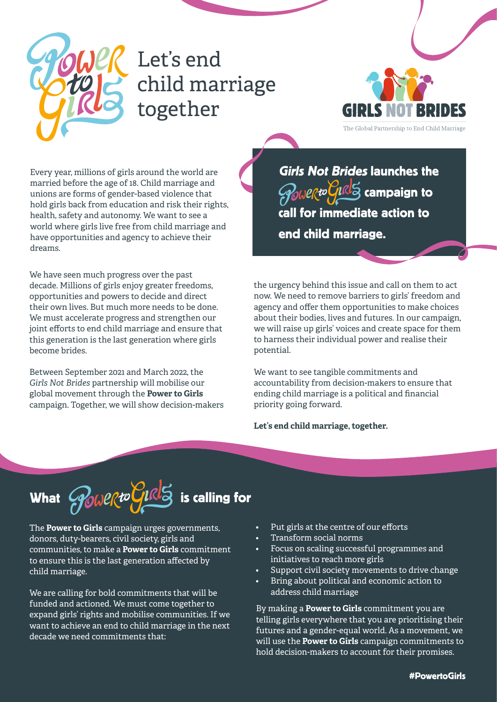

## Let's end child marriage together



Every year, millions of girls around the world are married before the age of 18. Child marriage and unions are forms of gender-based violence that hold girls back from education and risk their rights, health, safety and autonomy. We want to see a world where girls live free from child marriage and have opportunities and agency to achieve their .dreams

We have seen much progress over the past decade. Millions of girls enjoy greater freedoms, opportunities and powers to decide and direct their own lives. But much more needs to be done. We must accelerate progress and strengthen our joint efforts to end child marriage and ensure that this generation is the last generation where girls become brides.

Between September 2021 and March 2022, the Girls Not Brides partnership will mobilise our global movement through the **Power to Girls** campaign. Together, we will show decision-makers

**Girls Not Brides launches the**  $\partial_{0}\omega$ erto $\partial_{1}\mathbb{R}^{13}$  campaign to call for immediate action to end child marriage.

the urgency behind this issue and call on them to act now. We need to remove barriers to girls' freedom and agency and offer them opportunities to make choices about their bodies, lives and futures. In our campaign, we will raise up girls' voices and create space for them to harness their individual power and realise their .potential

We want to see tangible commitments and accountability from decision-makers to ensure that ending child marriage is a political and financial priority going forward.

#### Let's end child marriage, together.

# What  $\mathscr{P}_\mathsf{GUP}$  to  $\mathscr{G}_\mathsf{H}$  is calling for

The **Power to Girls** campaign urges governments, donors, duty-bearers, civil society, girls and communities, to make a **Power to Girls** commitment to ensure this is the last generation affected by child marriage.

We are calling for bold commitments that will be funded and actioned. We must come together to expand girls' rights and mobilise communities. If we want to achieve an end to child marriage in the next decade we need commitments that:

- Put girls at the centre of our efforts
- Transform social norms
- Focus on scaling successful programmes and initiatives to reach more girls
- Support civil society movements to drive change
- Bring about political and economic action to address child marriage

By making a **Power to Girls** commitment you are telling girls everywhere that you are prioritising their futures and a gender-equal world. As a movement, we will use the **Power to Girls** campaign commitments to hold decision-makers to account for their promises.